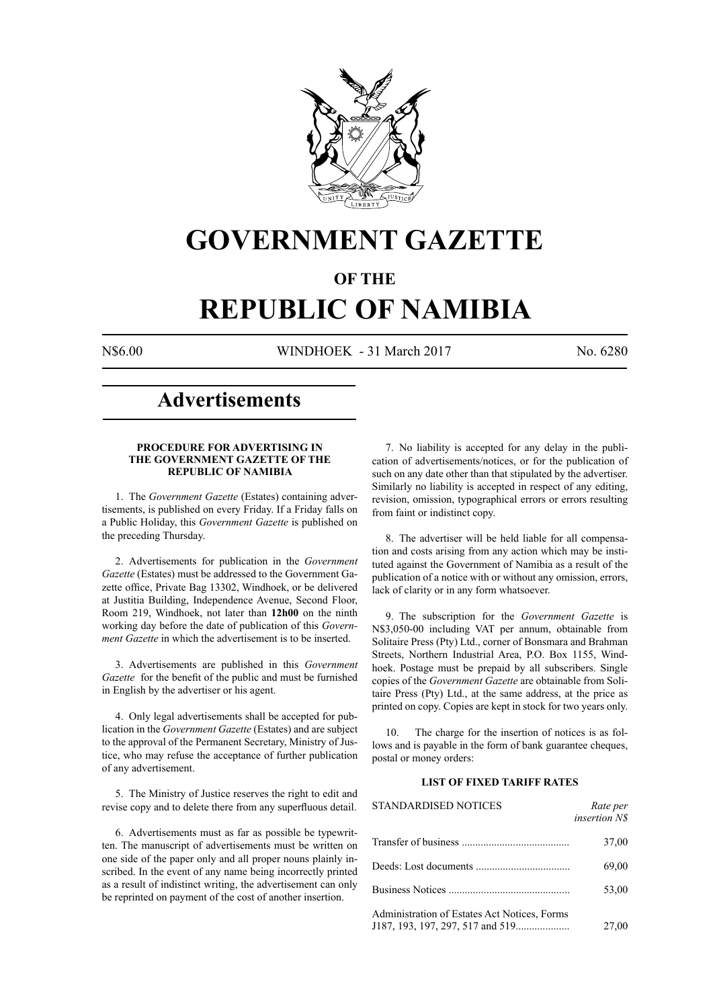

# **GOVERNMENT GAZETTE**

# **OF THE**

# **REPUBLIC OF NAMIBIA**

N\$6.00 WINDHOEK - 31 March 2017 No. 6280

# **Advertisements**

# **PROCEDURE FOR ADVERTISING IN THE GOVERNMENT GAZETTE OF THE REPUBLIC OF NAMIBIA**

1. The *Government Gazette* (Estates) containing advertisements, is published on every Friday. If a Friday falls on a Public Holiday, this *Government Gazette* is published on the preceding Thursday.

2. Advertisements for publication in the *Government Gazette* (Estates) must be addressed to the Government Gazette office, Private Bag 13302, Windhoek, or be delivered at Justitia Building, Independence Avenue, Second Floor, Room 219, Windhoek, not later than **12h00** on the ninth working day before the date of publication of this *Government Gazette* in which the advertisement is to be inserted.

3. Advertisements are published in this *Government Gazette* for the benefit of the public and must be furnished in English by the advertiser or his agent.

4. Only legal advertisements shall be accepted for publication in the *Government Gazette* (Estates) and are subject to the approval of the Permanent Secretary, Ministry of Justice, who may refuse the acceptance of further publication of any advertisement.

5. The Ministry of Justice reserves the right to edit and revise copy and to delete there from any superfluous detail.

6. Advertisements must as far as possible be typewritten. The manuscript of advertisements must be written on one side of the paper only and all proper nouns plainly inscribed. In the event of any name being incorrectly printed as a result of indistinct writing, the advertisement can only be reprinted on payment of the cost of another insertion.

7. No liability is accepted for any delay in the publication of advertisements/notices, or for the publication of such on any date other than that stipulated by the advertiser. Similarly no liability is accepted in respect of any editing, revision, omission, typographical errors or errors resulting from faint or indistinct copy.

8. The advertiser will be held liable for all compensation and costs arising from any action which may be instituted against the Government of Namibia as a result of the publication of a notice with or without any omission, errors, lack of clarity or in any form whatsoever.

9. The subscription for the *Government Gazette* is N\$3,050-00 including VAT per annum, obtainable from Solitaire Press (Pty) Ltd., corner of Bonsmara and Brahman Streets, Northern Industrial Area, P.O. Box 1155, Windhoek. Postage must be prepaid by all subscribers. Single copies of the *Government Gazette* are obtainable from Solitaire Press (Pty) Ltd., at the same address, at the price as printed on copy. Copies are kept in stock for two years only.

10. The charge for the insertion of notices is as follows and is payable in the form of bank guarantee cheques, postal or money orders:

# **LIST OF FIXED TARIFF RATES**

| <b>STANDARDISED NOTICES</b>                  | Rate per<br><i>insertion NS</i> |
|----------------------------------------------|---------------------------------|
|                                              | 37,00                           |
|                                              | 69,00                           |
|                                              | 53,00                           |
| Administration of Estates Act Notices, Forms | 27,00                           |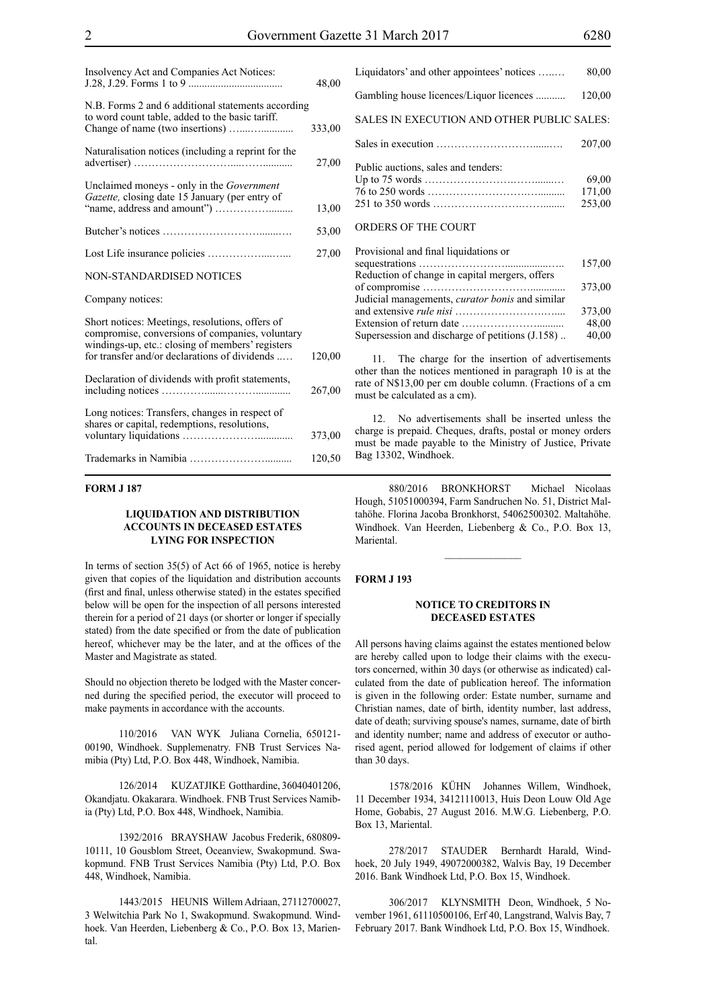| Insolvency Act and Companies Act Notices:                                                                                                                                                               | 48,00  |
|---------------------------------------------------------------------------------------------------------------------------------------------------------------------------------------------------------|--------|
| N.B. Forms 2 and 6 additional statements according<br>to word count table, added to the basic tariff.                                                                                                   | 333,00 |
| Naturalisation notices (including a reprint for the                                                                                                                                                     | 27,00  |
| Unclaimed moneys - only in the Government<br>Gazette, closing date 15 January (per entry of                                                                                                             | 13,00  |
|                                                                                                                                                                                                         | 53,00  |
|                                                                                                                                                                                                         | 27,00  |
| <b>NON-STANDARDISED NOTICES</b>                                                                                                                                                                         |        |
| Company notices:                                                                                                                                                                                        |        |
| Short notices: Meetings, resolutions, offers of<br>compromise, conversions of companies, voluntary<br>windings-up, etc.: closing of members' registers<br>for transfer and/or declarations of dividends | 120,00 |
| Declaration of dividends with profit statements,                                                                                                                                                        | 267,00 |
| Long notices: Transfers, changes in respect of<br>shares or capital, redemptions, resolutions,                                                                                                          | 373,00 |
|                                                                                                                                                                                                         | 120,50 |

# **FORM J 187**

# **LIQUIDATION AND DISTRIBUTION ACCOUNTS IN DECEASED ESTATES LYING FOR INSPECTION**

In terms of section 35(5) of Act 66 of 1965, notice is hereby given that copies of the liquidation and distribution accounts (first and final, unless otherwise stated) in the estates specified below will be open for the inspection of all persons interested therein for a period of 21 days (or shorter or longer if specially stated) from the date specified or from the date of publication hereof, whichever may be the later, and at the offices of the Master and Magistrate as stated.

Should no objection thereto be lodged with the Master concerned during the specified period, the executor will proceed to make payments in accordance with the accounts.

110/2016 VAN WYK Juliana Cornelia, 650121- 00190, Windhoek. Supplemenatry. FNB Trust Services Namibia (Pty) Ltd, P.O. Box 448, Windhoek, Namibia.

126/2014 KUZATJIKE Gotthardine, 36040401206, Okandjatu. Okakarara. Windhoek. FNB Trust Services Namibia (Pty) Ltd, P.O. Box 448, Windhoek, Namibia.

1392/2016 BRAYSHAW Jacobus Frederik, 680809- 10111, 10 Gousblom Street, Oceanview, Swakopmund. Swakopmund. FNB Trust Services Namibia (Pty) Ltd, P.O. Box 448, Windhoek, Namibia.

1443/2015 HEUNIS Willem Adriaan, 27112700027, 3 Welwitchia Park No 1, Swakopmund. Swakopmund. Windhoek. Van Heerden, Liebenberg & Co., P.O. Box 13, Mariental.

| Liquidators' and other appointees' notices | 80,00                     |
|--------------------------------------------|---------------------------|
| Gambling house licences/Liquor licences    | 120,00                    |
| SALES IN EXECUTION AND OTHER PUBLIC SALES: |                           |
|                                            | 207.00                    |
| Public auctions, sales and tenders:        | 69,00<br>171,00<br>253,00 |
| ORDERS OF THE COURT                        |                           |

| Provisional and final liquidations or                                |        |
|----------------------------------------------------------------------|--------|
|                                                                      | 157,00 |
| Reduction of change in capital mergers, offers                       |        |
|                                                                      | 373.00 |
| Judicial managements, <i>curator bonis</i> and similar               |        |
|                                                                      | 373,00 |
| Extension of return date $\dots \dots \dots \dots \dots \dots \dots$ | 48,00  |
| Supersession and discharge of petitions (J.158)                      | 40,00  |
|                                                                      |        |

The charge for the insertion of advertisements other than the notices mentioned in paragraph 10 is at the rate of N\$13,00 per cm double column. (Fractions of a cm must be calculated as a cm).

12. No advertisements shall be inserted unless the charge is prepaid. Cheques, drafts, postal or money orders must be made payable to the Ministry of Justice, Private Bag 13302, Windhoek.

880/2016 BRONKHORST Michael Nicolaas Hough, 51051000394, Farm Sandruchen No. 51, District Maltahöhe. Florina Jacoba Bronkhorst, 54062500302. Maltahöhe. Windhoek. Van Heerden, Liebenberg & Co., P.O. Box 13, Mariental.

 $\frac{1}{2}$ 

### **FORM J 193**

## **NOTICE TO CREDITORS IN DECEASED ESTATES**

All persons having claims against the estates mentioned below are hereby called upon to lodge their claims with the executors concerned, within 30 days (or otherwise as indicated) calculated from the date of publication hereof. The information is given in the following order: Estate number, surname and Christian names, date of birth, identity number, last address, date of death; surviving spouse's names, surname, date of birth and identity number; name and address of executor or authorised agent, period allowed for lodgement of claims if other than 30 days.

1578/2016 KÜHN Johannes Willem, Windhoek, 11 December 1934, 34121110013, Huis Deon Louw Old Age Home, Gobabis, 27 August 2016. M.W.G. Liebenberg, P.O. Box 13, Mariental.

278/2017 STAUDER Bernhardt Harald, Windhoek, 20 July 1949, 49072000382, Walvis Bay, 19 December 2016. Bank Windhoek Ltd, P.O. Box 15, Windhoek.

306/2017 KLYNSMITH Deon, Windhoek, 5 November 1961, 61110500106, Erf 40, Langstrand, Walvis Bay, 7 February 2017. Bank Windhoek Ltd, P.O. Box 15, Windhoek.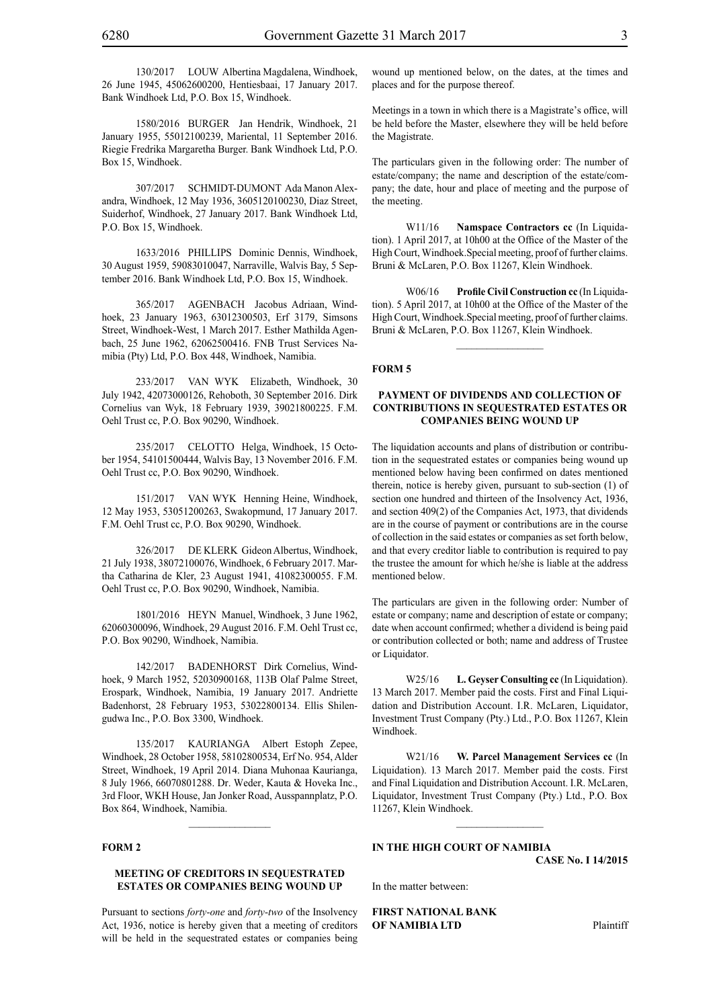130/2017 LOUW Albertina Magdalena, Windhoek, 26 June 1945, 45062600200, Hentiesbaai, 17 January 2017. Bank Windhoek Ltd, P.O. Box 15, Windhoek.

1580/2016 BURGER Jan Hendrik, Windhoek, 21 January 1955, 55012100239, Mariental, 11 September 2016. Riegie Fredrika Margaretha Burger. Bank Windhoek Ltd, P.O. Box 15, Windhoek.

307/2017 SCHMIDT-DUMONT Ada Manon Alexandra, Windhoek, 12 May 1936, 3605120100230, Diaz Street, Suiderhof, Windhoek, 27 January 2017. Bank Windhoek Ltd, P.O. Box 15, Windhoek.

1633/2016 PHILLIPS Dominic Dennis, Windhoek, 30 August 1959, 59083010047, Narraville, Walvis Bay, 5 September 2016. Bank Windhoek Ltd, P.O. Box 15, Windhoek.

365/2017 AGENBACH Jacobus Adriaan, Windhoek, 23 January 1963, 63012300503, Erf 3179, Simsons Street, Windhoek-West, 1 March 2017. Esther Mathilda Agenbach, 25 June 1962, 62062500416. FNB Trust Services Namibia (Pty) Ltd, P.O. Box 448, Windhoek, Namibia.

233/2017 VAN WYK Elizabeth, Windhoek, 30 July 1942, 42073000126, Rehoboth, 30 September 2016. Dirk Cornelius van Wyk, 18 February 1939, 39021800225. F.M. Oehl Trust cc, P.O. Box 90290, Windhoek.

235/2017 CELOTTO Helga, Windhoek, 15 October 1954, 54101500444, Walvis Bay, 13 November 2016. F.M. Oehl Trust cc, P.O. Box 90290, Windhoek.

151/2017 VAN WYK Henning Heine, Windhoek, 12 May 1953, 53051200263, Swakopmund, 17 January 2017. F.M. Oehl Trust cc, P.O. Box 90290, Windhoek.

326/2017 DE KLERK Gideon Albertus, Windhoek, 21 July 1938, 38072100076, Windhoek, 6 February 2017. Martha Catharina de Kler, 23 August 1941, 41082300055. F.M. Oehl Trust cc, P.O. Box 90290, Windhoek, Namibia.

1801/2016 HEYN Manuel, Windhoek, 3 June 1962, 62060300096, Windhoek, 29 August 2016. F.M. Oehl Trust cc, P.O. Box 90290, Windhoek, Namibia.

142/2017 BADENHORST Dirk Cornelius, Windhoek, 9 March 1952, 52030900168, 113B Olaf Palme Street, Erospark, Windhoek, Namibia, 19 January 2017. Andriette Badenhorst, 28 February 1953, 53022800134. Ellis Shilengudwa Inc., P.O. Box 3300, Windhoek.

135/2017 KAURIANGA Albert Estoph Zepee, Windhoek, 28 October 1958, 58102800534, Erf No. 954, Alder Street, Windhoek, 19 April 2014. Diana Muhonaa Kaurianga, 8 July 1966, 66070801288. Dr. Weder, Kauta & Hoveka Inc., 3rd Floor, WKH House, Jan Jonker Road, Ausspannplatz, P.O. Box 864, Windhoek, Namibia.

# **FORM 2**

# **MEETING OF CREDITORS IN SEQUESTRATED ESTATES OR COMPANIES BEING WOUND UP**

Pursuant to sections *forty-one* and *forty-two* of the Insolvency Act, 1936, notice is hereby given that a meeting of creditors will be held in the sequestrated estates or companies being

wound up mentioned below, on the dates, at the times and places and for the purpose thereof.

Meetings in a town in which there is a Magistrate's office, will be held before the Master, elsewhere they will be held before the Magistrate.

The particulars given in the following order: The number of estate/company; the name and description of the estate/company; the date, hour and place of meeting and the purpose of the meeting.

W11/16 **Namspace Contractors cc** (In Liquidation). 1 April 2017, at 10h00 at the Office of the Master of the High Court, Windhoek.Special meeting, proof of further claims. Bruni & McLaren, P.O. Box 11267, Klein Windhoek.

W06/16 **Profile Civil Construction cc** (In Liquidation). 5 April 2017, at 10h00 at the Office of the Master of the High Court, Windhoek.Special meeting, proof of further claims. Bruni & McLaren, P.O. Box 11267, Klein Windhoek.

 $\frac{1}{2}$ 

#### **FORM 5**

# **PAYMENT OF DIVIDENDS AND COLLECTION OF CONTRIBUTIONS IN SEQUESTRATED ESTATES OR COMPANIES BEING WOUND UP**

The liquidation accounts and plans of distribution or contribution in the sequestrated estates or companies being wound up mentioned below having been confirmed on dates mentioned therein, notice is hereby given, pursuant to sub-section (1) of section one hundred and thirteen of the Insolvency Act, 1936, and section 409(2) of the Companies Act, 1973, that dividends are in the course of payment or contributions are in the course of collection in the said estates or companies as set forth below, and that every creditor liable to contribution is required to pay the trustee the amount for which he/she is liable at the address mentioned below.

The particulars are given in the following order: Number of estate or company; name and description of estate or company; date when account confirmed; whether a dividend is being paid or contribution collected or both; name and address of Trustee or Liquidator.

W<sub>25</sub>/16 **L. Geyser Consulting cc** (In Liquidation). 13 March 2017. Member paid the costs. First and Final Liquidation and Distribution Account. I.R. McLaren, Liquidator, Investment Trust Company (Pty.) Ltd., P.O. Box 11267, Klein Windhoek.

W21/16 **W. Parcel Management Services cc** (In Liquidation). 13 March 2017. Member paid the costs. First and Final Liquidation and Distribution Account. I.R. McLaren, Liquidator, Investment Trust Company (Pty.) Ltd., P.O. Box 11267, Klein Windhoek.

# **IN THE HIGH COURT OF NAMIBIA**

**CASE No. I 14/2015**

In the matter between:

**FIRST NATIONAL BANK OF NAMIBIA LTD** Plaintiff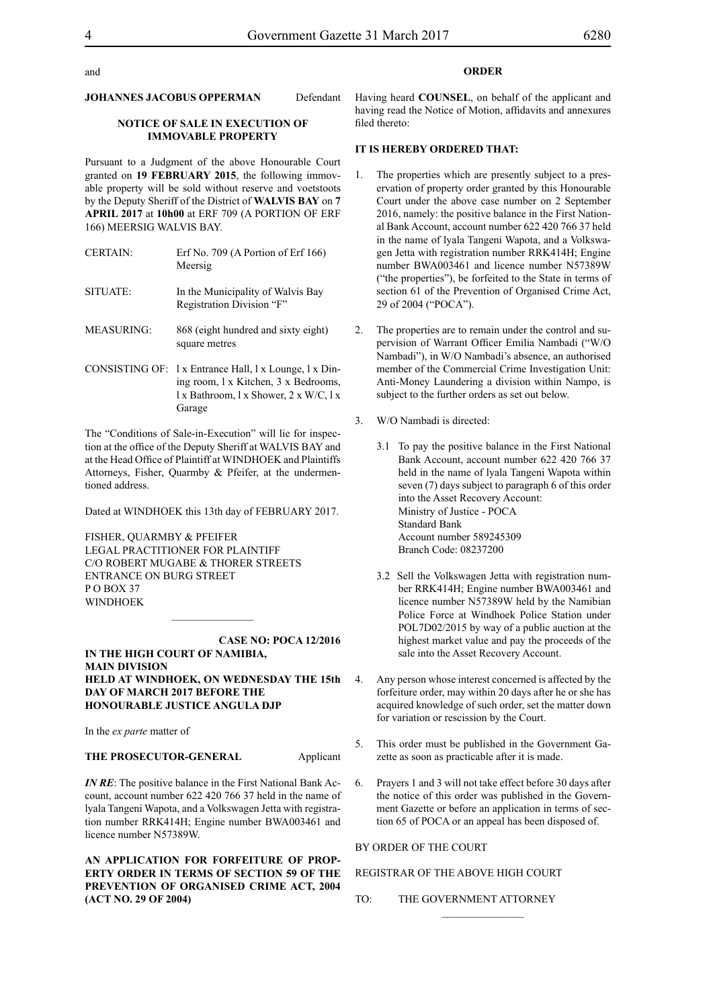### **JOHANNES JACOBUS OPPERMAN** Defendant

# **NOTICE OF SALE IN EXECUTION OF IMMOVABLE PROPERTY**

Pursuant to a Judgment of the above Honourable Court granted on **19 FEBRUARY 2015**, the following immovable property will be sold without reserve and voetstoots by the Deputy Sheriff of the District of **WALVIS BAY** on **7 APRIL 2017** at **10h00** at ERF 709 (A PORTION OF ERF 166) MEERSIG WALVIS BAY.

| <b>CERTAIN:</b>   | Erf No. $709$ (A Portion of Erf $166$ )<br>Meersig             |
|-------------------|----------------------------------------------------------------|
| SITUATE:          | In the Municipality of Walvis Bay<br>Registration Division "F" |
| <b>MEASURING:</b> | 868 (eight hundred and sixty eight)<br>square metres           |

CONSISTING OF: l x Entrance Hall, l x Lounge, l x Dining room, l x Kitchen, 3 x Bedrooms, l x Bathroom, l x Shower, 2 x W/C, l x Garage

The "Conditions of Sale-in-Execution" will lie for inspection at the office of the Deputy Sheriff at WALVIS BAY and at the Head Office of Plaintiff at WINDHOEK and Plaintiffs Attorneys, Fisher, Quarmby & Pfeifer, at the undermentioned address.

Dated at WINDHOEK this 13th day of FEBRUARY 2017.

FISHER, QUARMBY & PFEIFER LEGAL PRACTITIONER FOR PLAINTIFF c/o Robert Mugabe & Thorer Streets entrance on Burg Street PO BOX 37 WINDHOEK

**CASE NO: POCA 12/2016 IN THE HIGH COURT OF NAMIBIA, MAIN DIVISION HELD AT WINDHOEK, ON WEDNESDAY THE 15th DAY OF MARCH 2017 BEFORE THE HONOURABLE JUSTICE ANGULA DJP**

 $\frac{1}{2}$ 

In the *ex parte* matter of

**THE PROSECUTOR-GENERAL** Applicant

*IN RE*: The positive balance in the First National Bank Account, account number 622 420 766 37 held in the name of lyala Tangeni Wapota, and a Volkswagen Jetta with registration number RRK414H; Engine number BWA003461 and licence number N57389W.

**AN APPLICATION FOR FORFEITURE OF PROP-ERTY ORDER IN TERMS OF SECTION 59 OF THE PREVENTION OF ORGANISED CRIME ACT, 2004 (ACT NO. 29 OF 2004)** 

# **ORDER**

Having heard **COUNSEL**, on behalf of the applicant and having read the Notice of Motion, affidavits and annexures filed thereto:

# **IT IS HEREBY ORDERED THAT:**

- 1. The properties which are presently subject to a preservation of property order granted by this Honourable Court under the above case number on 2 September 2016, namely: the positive balance in the First National Bank Account, account number 622 420 766 37 held in the name of lyala Tangeni Wapota, and a Volkswagen Jetta with registration number RRK414H; Engine number BWA003461 and licence number N57389W ("the properties"), be forfeited to the State in terms of section 61 of the Prevention of Organised Crime Act, 29 of 2004 ("POCA").
- 2. The properties are to remain under the control and supervision of Warrant Officer Emilia Nambadi ("W/O Nambadi"), in W/O Nambadi's absence, an authorised member of the Commercial Crime Investigation Unit: Anti-Money Laundering a division within Nampo, is subject to the further orders as set out below.
- 3. W/O Nambadi is directed:
	- 3.1 To pay the positive balance in the First National Bank Account, account number 622 420 766 37 held in the name of lyala Tangeni Wapota within seven (7) days subject to paragraph 6 of this order into the Asset Recovery Account: Ministry of Justice - POCA Standard Bank Account number 589245309 Branch Code: 08237200
	- 3.2 Sell the Volkswagen Jetta with registration number RRK414H; Engine number BWA003461 and licence number N57389W held by the Namibian Police Force at Windhoek Police Station under POL7D02/2015 by way of a public auction at the highest market value and pay the proceeds of the sale into the Asset Recovery Account.
- 4. Any person whose interest concerned is affected by the forfeiture order, may within 20 days after he or she has acquired knowledge of such order, set the matter down for variation or rescission by the Court.
- 5. This order must be published in the Government Gazette as soon as practicable after it is made.
- 6. Prayers 1 and 3 will not take effect before 30 days after the notice of this order was published in the Government Gazette or before an application in terms of section 65 of POCA or an appeal has been disposed of.

 $\frac{1}{2}$ 

BY ORDER OF THE COURT

# REGISTRAR OF THE ABOVE HIGH COURT

TO: THE GOVERNMENT ATTORNEY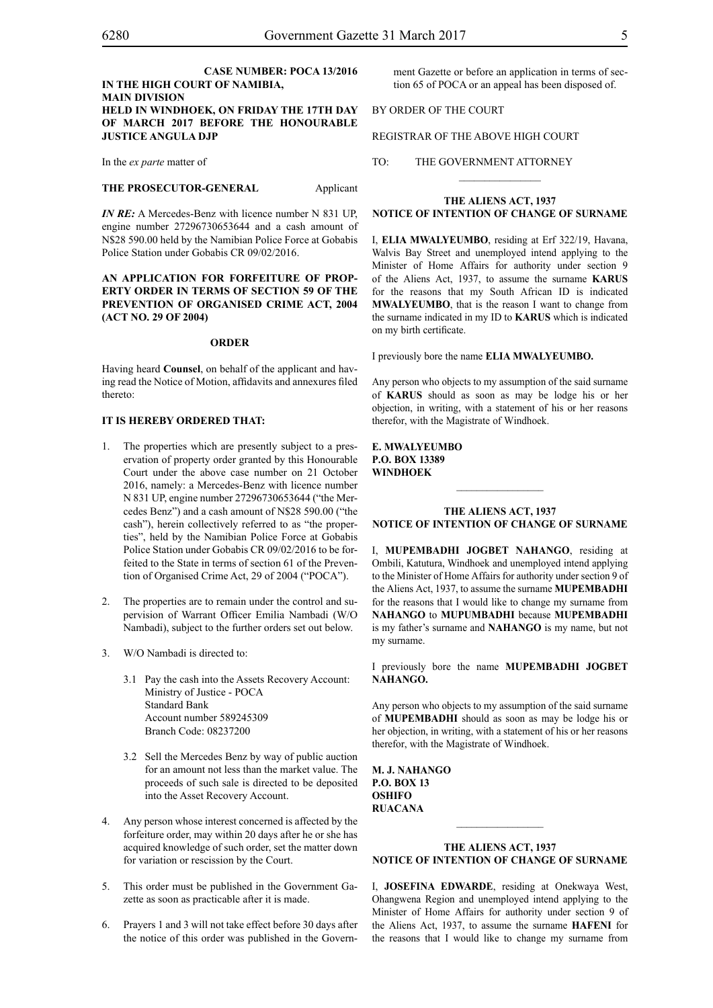# **CASE NUMBER: POCA 13/2016 IN THE HIGH COURT OF NAMIBIA, MAIN DIVISION HELD IN WINDHOEK, ON FRIDAY THE 17TH DAY OF MARCH 2017 BEFORE THE HONOURABLE JUSTICE ANGULA DJP**

In the *ex parte* matter of

#### **THE PROSECUTOR-GENERAL** Applicant

*IN RE:* A Mercedes-Benz with licence number N 831 UP, engine number 27296730653644 and a cash amount of N\$28 590.00 held by the Namibian Police Force at Gobabis Police Station under Gobabis CR 09/02/2016.

# **AN APPLICATION FOR FORFEITURE OF PROP-ERTY ORDER IN TERMS OF SECTION 59 OF THE PREVENTION OF ORGANISED CRIME ACT, 2004 (ACT NO. 29 OF 2004)**

#### **ORDER**

Having heard **Counsel**, on behalf of the applicant and having read the Notice of Motion, affidavits and annexures filed thereto:

# **IT IS HEREBY ORDERED THAT:**

- 1. The properties which are presently subject to a preservation of property order granted by this Honourable Court under the above case number on 21 October 2016, namely: a Mercedes-Benz with licence number N 831 UP, engine number 27296730653644 ("the Mercedes Benz") and a cash amount of N\$28 590.00 ("the cash"), herein collectively referred to as "the properties", held by the Namibian Police Force at Gobabis Police Station under Gobabis CR 09/02/2016 to be forfeited to the State in terms of section 61 of the Prevention of Organised Crime Act, 29 of 2004 ("POCA").
- 2. The properties are to remain under the control and supervision of Warrant Officer Emilia Nambadi (W/O Nambadi), subject to the further orders set out below.
- 3. W/O Nambadi is directed to:
	- 3.1 Pay the cash into the Assets Recovery Account: Ministry of Justice - POCA Standard Bank Account number 589245309 Branch Code: 08237200
	- 3.2 Sell the Mercedes Benz by way of public auction for an amount not less than the market value. The proceeds of such sale is directed to be deposited into the Asset Recovery Account.
- 4. Any person whose interest concerned is affected by the forfeiture order, may within 20 days after he or she has acquired knowledge of such order, set the matter down for variation or rescission by the Court.
- 5. This order must be published in the Government Gazette as soon as practicable after it is made.
- 6. Prayers 1 and 3 will not take effect before 30 days after the notice of this order was published in the Govern-

ment Gazette or before an application in terms of section 65 of POCA or an appeal has been disposed of.

# BY ORDER OF THE COURT

REGISTRAR OF THE ABOVE HIGH COURT

TO: THE GOVERNMENT ATTORNEY

# **THE ALIENS ACT, 1937 NOTICE OF INTENTION OF CHANGE OF SURNAME**

 $\frac{1}{2}$ 

I, **elia mwalyeumbo**, residing at Erf 322/19, Havana, Walvis Bay Street and unemployed intend applying to the Minister of Home Affairs for authority under section 9 of the Aliens Act, 1937, to assume the surname **karus** for the reasons that my South African ID is indicated **MWALYEUMBO**, that is the reason I want to change from the surname indicated in my ID to **KARUS** which is indicated on my birth certificate.

I previously bore the name **elia mwalyeumbo.**

Any person who objects to my assumption of the said surname of **karus** should as soon as may be lodge his or her objection, in writing, with a statement of his or her reasons therefor, with the Magistrate of Windhoek.

**e. mwalyeumbo P.o. box 13389 windhoek**

# **THE ALIENS ACT, 1937 NOTICE OF INTENTION OF CHANGE OF SURNAME**

 $\frac{1}{2}$ 

I, **Mupembadhi jOgbet nahango**, residing at Ombili, Katutura, Windhoek and unemployed intend applying to the Minister of Home Affairs for authority under section 9 of the Aliens Act, 1937, to assume the surname **MUPEMBADHI** for the reasons that I would like to change my surname from **NAHANGO** to **MUPUMBADHI** because **MUPEMBADHI** is my father's surname and **NAHANGO** is my name, but not my surname.

I previously bore the name **Mupembadhi jOgbet** NAHANGO.

Any person who objects to my assumption of the said surname of **Mupembadhi** should as soon as may be lodge his or her objection, in writing, with a statement of his or her reasons therefor, with the Magistrate of Windhoek.

**M. j. nahango P.o. box 13 oshifo ruacana**

# **THE ALIENS ACT, 1937 NOTICE OF INTENTION OF CHANGE OF SURNAME**

I, **JOSEFINA EDWARDE**, residing at Onekwaya West, Ohangwena Region and unemployed intend applying to the Minister of Home Affairs for authority under section 9 of the Aliens Act, 1937, to assume the surname **hafeni** for the reasons that I would like to change my surname from